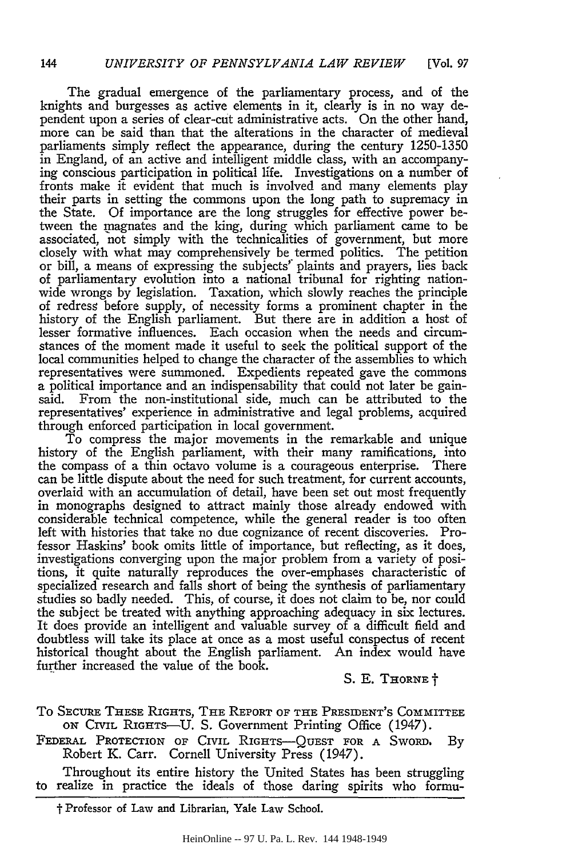The gradual emergence of the parliamentary process, and of the knights and burgesses as active elements in it, clearly is in no way dependent upon a series of clear-cut administrative acts. On the other hand, more can be said than that the alterations in the character of medieval parliaments simply reflect the appearance, during the century 1250-1350 in England, of an active and intelligent middle class, with an accompanying conscious participation in political life. Investigations on a number of fronts make it evident that much is involved and many elements play their parts in setting the commons upon the long path to supremacy in the State. **Of** importance are the long struggles for effective power between the magnates and the king, during which parliament came to be associated, not simply with the technicalities of government, but more closely with what may comprehensively be termed politics. The petition or bill, a means of expressing the subjects' plaints and prayers, lies back of parliamentary evolution into a national tribunal for righting nationwide wrongs by legislation. Taxation, which slowly reaches the principle of redress before supply, of necessity forms a prominent chapter in the history of the English parliament. But there are in addition a host of lesser formative influences. Each occasion when the needs and circumstances of the moment made it useful to seek the political support of the local communities helped to change the character of the assemblies to which representatives were summoned. Expedients repeated gave the commons a political importance and an indispensability that could not later be gainsaid. From the non-institutional side, much can be attributed to the representatives' experience in administrative and legal problems, acquired through enforced participation in local government.

To compress the major movements in the remarkable and unique history of the English parliament, with their many ramifications, into the compass of a thin octavo volume is a courageous enterprise. There can be little dispute about the need for such treatment, for current accounts, overlaid with an accumulation of detail, have been set out most frequently in monographs designed to attract mainly those already endowed with considerable technical competence, while the general reader is too often left with histories that take no due cognizance of recent discoveries. Professor Haskins' book omits little of importance, but reflecting, as it does, investigations converging upon the major problem from a variety of positions, it quite naturally reproduces the over-emphases characteristic of specialized research and falls short of being the synthesis of parliamentary studies so badly needed. This, of course, it does not claim to be, nor could the subject be treated with anything approaching adequacy in six lectures. It does provide an intelligent and valuable survey of a difficult field and doubtless will take its place at once as a most useful conspectus of recent historical thought about the English parliament. An index would have further increased the value of the book.

S. E. THORNE  $\dagger$ 

- To **SECURE THESE** RIGHTS, **THE REPORT** OF **THE PRESIDENT'S** COMMITTEE **ON** CIVIL RIGHTS-U. S. Government Printing Office (1947).
- FEDERAL PROTECTION OF CIVIL **RIGHTS-QUEST FOR A** SwoRD, By Robert K. Carr. Cornell University Press (1947).

Throughout its entire history the United States has been struggling to realize in practice the ideals of those daring spirits who formu-

t Professor of Law and Librarian, Yale Law School.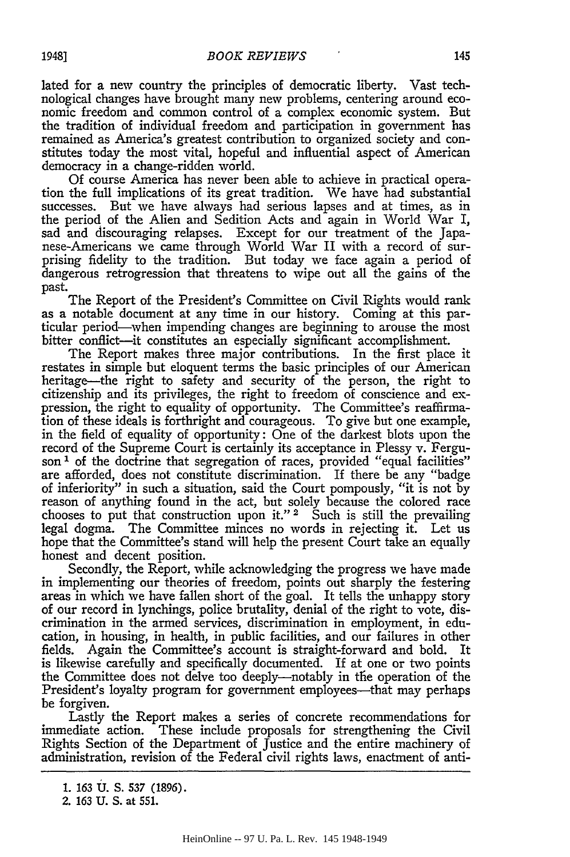lated for a new country the principles of democratic liberty. Vast technological changes have brought many new problems, centering around economic freedom and common control of a complex economic system. But the tradition of individual freedom and participation in government has remained as America's greatest contribution to organized society and constitutes today the most vital, hopeful and influential aspect of American democracy in a change-ridden world.

Of course America has never been able to achieve in practical operation the full implications of its great tradition. We have had substantial successes. But we have always had serious lapses and at times, as in the period of the Alien and Sedition Acts and again in World War *I,* sad and discouraging relapses. Except for our treatment of the Japanese-Americans we came through World War II with a record of surprising fidelity to the tradition. But today we face again a period of dangerous retrogression that threatens to wipe out all the gains of the past.

The Report of the President's Committee on Civil Rights would rank as a notable document at any time in our history. Coming at this particular period-when impending changes are beginning to arouse the most bitter conflict-it constitutes an especially significant accomplishment.

The Report makes three major contributions. In the first place it restates in simple but eloquent terms the basic principles of our American heritage-the right to safety and security of the person, the right to citizenship and its privileges, the right to freedom of conscience and expression, the right to equality of opportunity. The Committee's reaffirmation of these ideals is forthright and courageous. To give but one example, in the field of equality of opportunity: One of the darkest blots upon the record of the Supreme Court is certainly its acceptance in Plessy v. Ferguson<sup>1</sup> of the doctrine that segregation of races, provided "equal facilities" are afforded, does not constitute discrimination. If there be any "badge of inferiority" in such a situation, said the Court pompously, "it is not by reason of anything found in the act, but solely because the colored race chooses to put that construction upon it."  $2^{\circ}$  Such is still the prevailing legal dogma. The Committee minces no words in rejecting it. Let us hope that the Committee's stand will help the present Court take an equally honest and decent position.

Secondly, the Report, while acknowledging the progress we have made in implementing our theories of freedom, points out sharply the festering areas in which we have fallen short of the goal. It tells the unhappy story of our record in lynchings, police brutality, denial of the right to vote, discrimination in the armed services, discrimination in employment, in education, in housing, in health, in public facilities, and our failures in other fields. Again the Committee's account is straight-forward and bold. It is likewise carefully and specifically documented. If at one or two points the Committee does not delve too deeply-notably in the operation of the President's loyalty program for government employees-that may perhaps be forgiven.

Lastly the Report makes a series of concrete recommendations for immediate action. These include proposals for strengthening the Civil Rights Section of the Department of justice and the entire machinery of administration, revision of the Federal civil rights laws, enactment of anti-

<sup>1. 163</sup> U. S. 537 (1896).

<sup>2. 163</sup> U. S. at 551.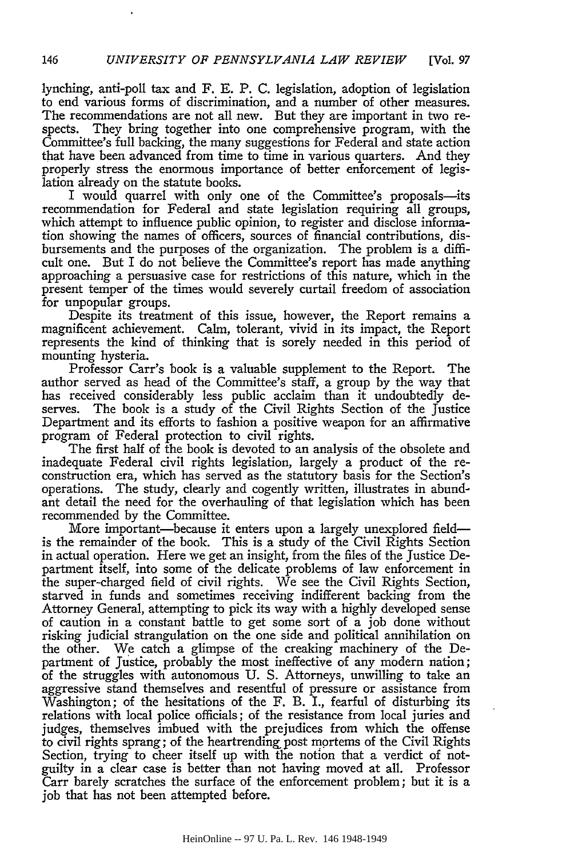lynching, anti-poll tax and F. **E.** P. C. legislation, adoption of legislation to end various forms of discrimination, and a number of other measures. The recommendations are not all new. But they are important in two respects. They bring together into one comprehensive program, with the Committee's full backing, the many suggestions for Federal and state action that have been advanced from time to time in various quarters. And they properly stress the enormous importance of better enforcement of legislation already on the statute books.

I would quarrel with only one of the Committee's proposals-its recommendation for Federal and state legislation requiring all groups, which attempt to influence public opinion, to register and disclose information showing the names of officers, sources of financial contributions, disbursements and the purposes of the organization. The problem is a difficult one. But I do not believe the Committee's report has made anything approaching a persuasive case for restrictions of this nature, which in the present temper of the times would severely curtail freedom of association for unpopular groups.

Despite its treatment of this issue, however, the Report remains a magnificent achievement. Calm, tolerant, vivid in its impact, the Report represents the kind of thinking that is sorely needed in this period of mounting hysteria.

Professor Carr's book is a valuable supplement to the Report. The author served as head of the Committee's staff, a group by the way that has received considerably less public acclaim than it undoubtedly deserves. The book is a study of the Civil Rights Section of the Justice Department and its efforts to fashion a positive weapon for an affirmative program of Federal protection to civil rights.

The first half of the book is devoted to an analysis of the obsolete and inadequate Federal civil rights legislation, largely a product of the reconstruction era, which has served as the statutory basis for the Section's operations. The study, clearly and cogently written, illustrates in abundant detail the need for the overhauling of that legislation which has been recommended by the Committee.

More important-because it enters upon a largely unexplored fieldis the remainder of the book. This is a study of the Civil Rights Section in actual operation. Here we get an insight, from the files of the Justice Department itself, into some of the delicate problems of law enforcement in the super-charged field of civil rights. We see the Civil Rights Section, starved in funds and sometimes receiving indifferent backing from the Attorney General, attempting to pick its way with a highly developed sense of caution in a constant battle to get some sort of a job done without risking judicial strangulation on the one side and political annihilation on the other. We catch a glimpse of the creaking machinery of the Department of Justice, probably the most ineffective of any modem nation; of the struggles with autonomous U. S. Attorneys, unwilling to take an aggressive stand themselves and resentful of pressure or assistance from Washington; of the hesitations of the F. B. I., fearful of disturbing its relations with local police officials; of the resistance from local juries and judges, themselves imbued with the prejudices from which the offense to civil rights sprang; of the heartrending post mortems of the Civil Rights Section, trying to cheer itself up with the notion that a verdict of notguilty in a clear case is better than not having moved at all. Professor Carr barely scratches the surface of the enforcement problem; but it is a job that has not been attempted before.